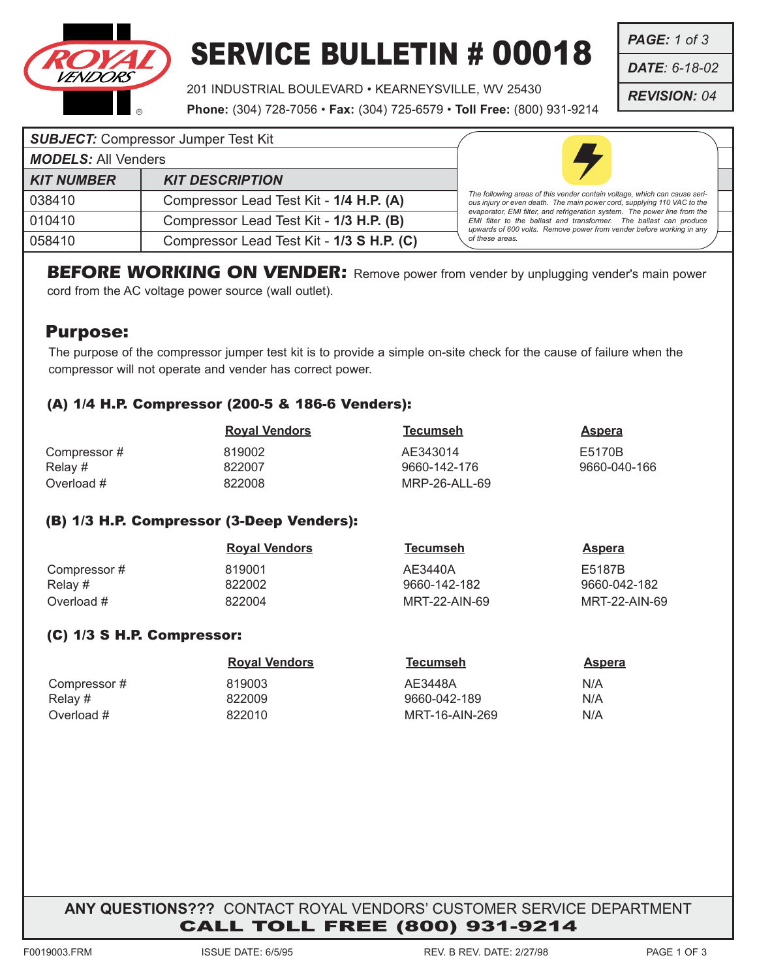

## SERVICE BULLETIN # 00018

201 INDUSTRIAL BOULEVARD • KEARNEYSVILLE, WV 25430

**Phone:** (304) 728-7056 • **Fax:** (304) 725-6579 • **Toll Free:** (800) 931-9214

*PAGE: 1 of 3*

*DATE: 6-18-02*

*REVISION: 04*

|                            | <b>SUBJECT:</b> Compressor Jumper Test Kit |                                                                                                                                                                                                                         |
|----------------------------|--------------------------------------------|-------------------------------------------------------------------------------------------------------------------------------------------------------------------------------------------------------------------------|
| <b>MODELS: All Venders</b> |                                            |                                                                                                                                                                                                                         |
| <b>KIT NUMBER</b>          | <b>KIT DESCRIPTION</b>                     |                                                                                                                                                                                                                         |
| 038410                     | Compressor Lead Test Kit - 1/4 H.P. (A)    | The following areas of this vender contain voltage, which can cause seri-<br>ous injury or even death. The main power cord, supplying 110 VAC to the                                                                    |
| 010410                     | Compressor Lead Test Kit - 1/3 H.P. (B)    | evaporator, EMI filter, and refrigeration system. The power line from the<br>EMI filter to the ballast and transformer. The ballast can produce<br>upwards of 600 volts. Remove power from vender before working in any |
| 058410                     | Compressor Lead Test Kit - 1/3 S H.P. (C)  | of these areas.                                                                                                                                                                                                         |

**BEFORE WORKING ON VENDER:** Remove power from vender by unplugging vender's main power cord from the AC voltage power source (wall outlet).

### Purpose:

The purpose of the compressor jumper test kit is to provide a simple on-site check for the cause of failure when the compressor will not operate and vender has correct power.

#### (A) 1/4 H.P. Compressor (200-5 & 186-6 Venders):

|             | <b>Royal Vendors</b> | Tecumseh      | Aspera       |
|-------------|----------------------|---------------|--------------|
| Compressor# | 819002               | AE343014      | E5170B       |
| Relay #     | 822007               | 9660-142-176  | 9660-040-166 |
| Overload #  | 822008               | MRP-26-ALL-69 |              |

#### (B) 1/3 H.P. Compressor (3-Deep Venders):

|             | <b>Royal Vendors</b> | Tecumseh      | Aspera        |
|-------------|----------------------|---------------|---------------|
| Compressor# | 819001               | AE3440A       | E5187B        |
| Relay #     | 822002               | 9660-142-182  | 9660-042-182  |
| Overload #  | 822004               | MRT-22-AIN-69 | MRT-22-AIN-69 |

#### (C) 1/3 S H.P. Compressor:

|             | <b>Royal Vendors</b> | Tecumseh       | Aspera |
|-------------|----------------------|----------------|--------|
| Compressor# | 819003               | AE3448A        | N/A    |
| Relay #     | 822009               | 9660-042-189   | N/A    |
| Overload #  | 822010               | MRT-16-AIN-269 | N/A    |

**ANY QUESTIONS???** CONTACT ROYAL VENDORS' CUSTOMER SERVICE DEPARTMENT CALL TOLL FREE (800) 931-9214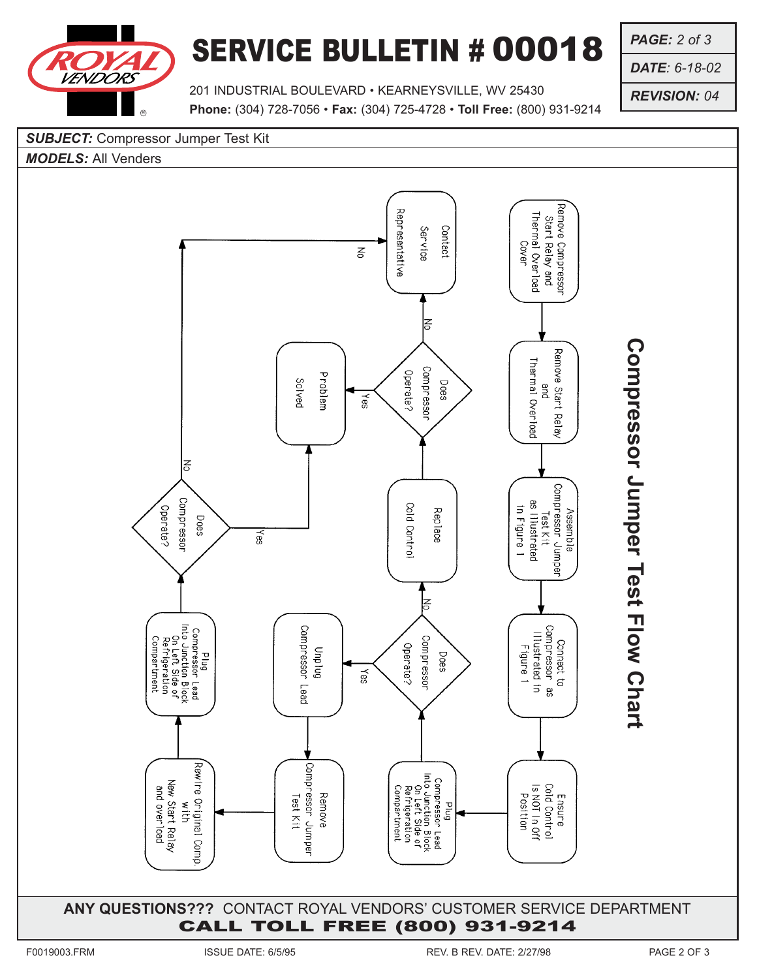

## SERVICE BULLETIN # 00018

*PAGE: 2 of 3*

*DATE: 6-18-02*

*REVISION: 04*

201 INDUSTRIAL BOULEVARD • KEARNEYSVILLE, WV 25430 **Phone:** (304) 728-7056 • **Fax:** (304) 725-4728 • **Toll Free:** (800) 931-9214